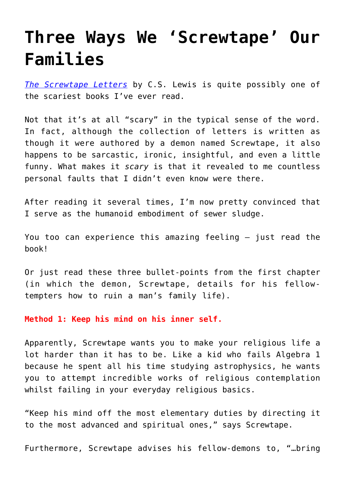## **[Three Ways We 'Screwtape' Our](https://intellectualtakeout.org/2018/09/three-ways-we-screwtape-our-families/) [Families](https://intellectualtakeout.org/2018/09/three-ways-we-screwtape-our-families/)**

*[The Screwtape Letters](https://www.amazon.com/gp/product/0060652934/ref=as_li_qf_asin_il_tl?ie=UTF8&tag=intelltakeo0d-20&creative=9325&linkCode=as2&creativeASIN=0060652934&linkId=448e9a47a6ff8dec2418a081ce2cb0ec)* by C.S. Lewis is quite possibly one of the scariest books I've ever read.

Not that it's at all "scary" in the typical sense of the word. In fact, although the collection of letters is written as though it were authored by a demon named Screwtape, it also happens to be sarcastic, ironic, insightful, and even a little funny. What makes it *scary* is that it revealed to me countless personal faults that I didn't even know were there.

After reading it several times, I'm now pretty convinced that I serve as the humanoid embodiment of sewer sludge.

You too can experience this amazing feeling — just read the book!

Or just read these three bullet-points from the first chapter (in which the demon, Screwtape, details for his fellowtempters how to ruin a man's family life).

**Method 1: Keep his mind on his inner self.**

Apparently, Screwtape wants you to make your religious life a lot harder than it has to be. Like a kid who fails Algebra 1 because he spent all his time studying astrophysics, he wants you to attempt incredible works of religious contemplation whilst failing in your everyday religious basics.

"Keep his mind off the most elementary duties by directing it to the most advanced and spiritual ones," says Screwtape.

Furthermore, Screwtape advises his fellow-demons to, "…bring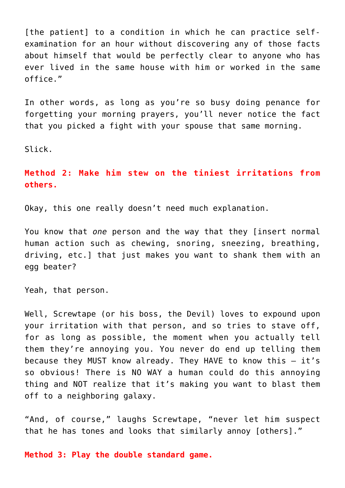[the patient] to a condition in which he can practice selfexamination for an hour without discovering any of those facts about himself that would be perfectly clear to anyone who has ever lived in the same house with him or worked in the same office."

In other words, as long as you're so busy doing penance for forgetting your morning prayers, you'll never notice the fact that you picked a fight with your spouse that same morning.

Slick.

**Method 2: Make him stew on the tiniest irritations from others.**

Okay, this one really doesn't need much explanation.

You know that *one* person and the way that they [insert normal human action such as chewing, snoring, sneezing, breathing, driving, etc.] that just makes you want to shank them with an egg beater?

Yeah, that person.

Well, Screwtape (or his boss, the Devil) loves to expound upon your irritation with that person, and so tries to stave off, for as long as possible, the moment when you actually tell them they're annoying you. You never do end up telling them because they MUST know already. They HAVE to know this — it's so obvious! There is NO WAY a human could do this annoying thing and NOT realize that it's making you want to blast them off to a neighboring galaxy.

"And, of course," laughs Screwtape, "never let him suspect that he has tones and looks that similarly annoy [others]."

**Method 3: Play the double standard game.**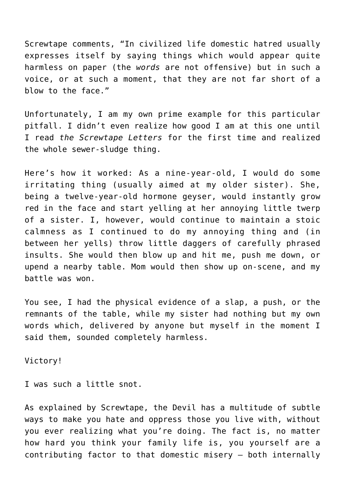Screwtape comments, "In civilized life domestic hatred usually expresses itself by saying things which would appear quite harmless on paper (the *words* are not offensive) but in such a voice, or at such a moment, that they are not far short of a blow to the face."

Unfortunately, I am my own prime example for this particular pitfall. I didn't even realize how good I am at this one until I read *the Screwtape Letters* for the first time and realized the whole sewer-sludge thing.

Here's how it worked: As a nine-year-old, I would do some irritating thing (usually aimed at my older sister). She, being a twelve-year-old hormone geyser, would instantly grow red in the face and start yelling at her annoying little twerp of a sister. I, however, would continue to maintain a stoic calmness as I continued to do my annoying thing and (in between her yells) throw little daggers of carefully phrased insults. She would then blow up and hit me, push me down, or upend a nearby table. Mom would then show up on-scene, and my battle was won.

You see, I had the physical evidence of a slap, a push, or the remnants of the table, while my sister had nothing but my own words which, delivered by anyone but myself in the moment I said them, sounded completely harmless.

Victory!

I was such a little snot.

As explained by Screwtape, the Devil has a multitude of subtle ways to make you hate and oppress those you live with, without you ever realizing what you're doing. The fact is, no matter how hard you think your family life is, you yourself are a contributing factor to that domestic misery – both internally